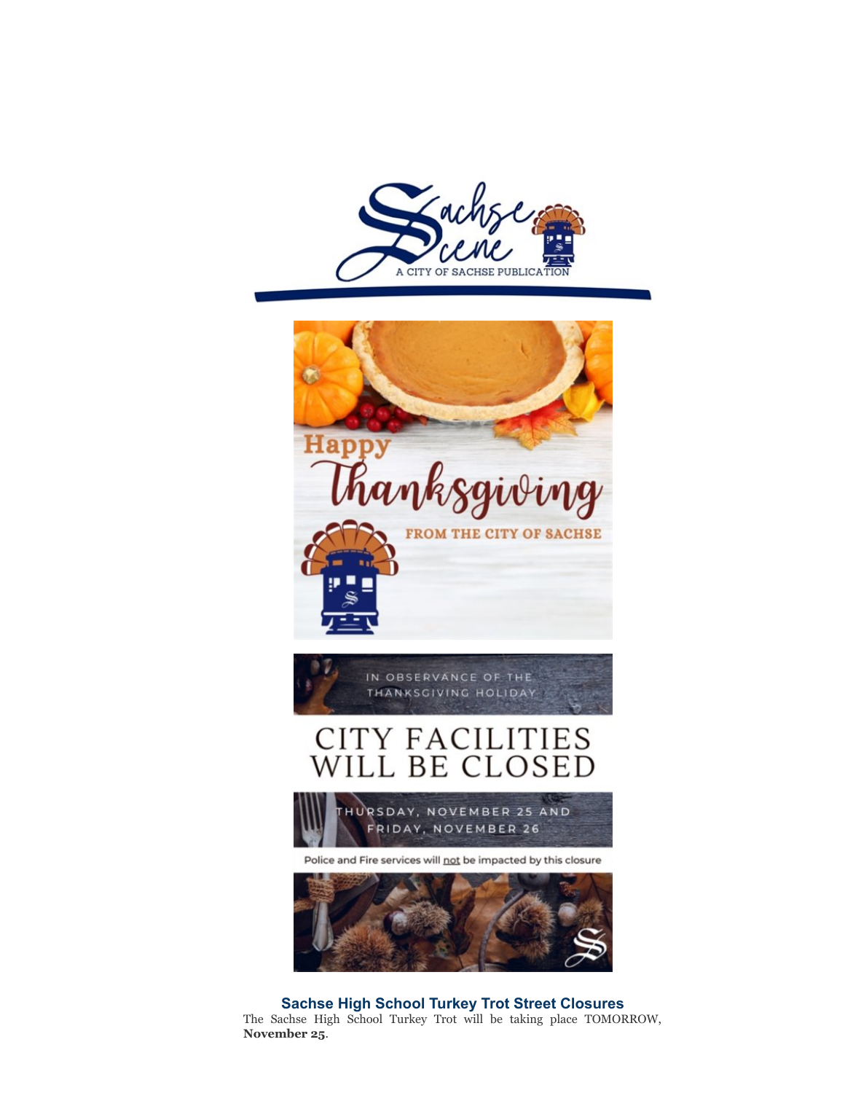



Police and Fire services will not be impacted by this closure



**Sachse High School Turkey Trot Street Closures**

The Sachse High School Turkey Trot will be taking place TOMORROW, **November 25**.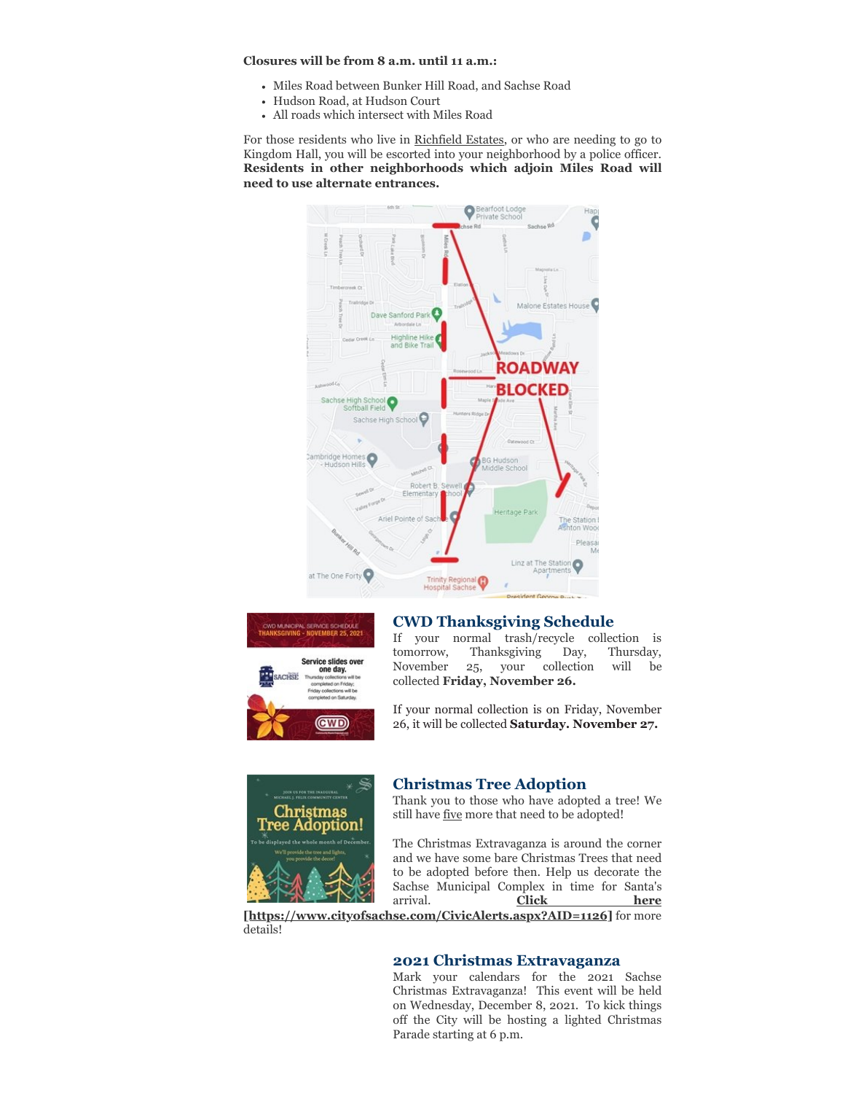**Closures will be from 8 a.m. until 11 a.m.:**

- Miles Road between Bunker Hill Road, and Sachse Road
- Hudson Road, at Hudson Court
- All roads which intersect with Miles Road

For those residents who live in Richfield Estates, or who are needing to go to Kingdom Hall, you will be escorted into your neighborhood by a police officer. **Residents in other neighborhoods which adjoin Miles Road will need to use alternate entrances.**





### **CWD Thanksgiving Schedule**

If your normal trash/recycle collection is tomorrow, Thanksgiving Day, Thursday, November 25, your collection will be collected **Friday, November 26.**

If your normal collection is on Friday, November 26, it will be collected **Saturday. November 27.**



### **Christmas Tree Adoption**

Thank you to those who have adopted a tree! We still have five more that need to be adopted!

The Christmas Extravaganza is around the corner and we have some bare Christmas Trees that need to be adopted before then. Help us decorate the Sachse Municipal Complex in time for Santa's arrival. **Click here**

**[\[https://www.cityofsachse.com/CivicAlerts.aspx?AID=1126\]](https://www.cityofsachse.com/CivicAlerts.aspx?AID=1126)** for more details!

#### **2021 Christmas Extravaganza**

Mark your calendars for the 2021 Sachse Christmas Extravaganza! This event will be held on Wednesday, December 8, 2021. To kick things off the City will be hosting a lighted Christmas Parade starting at 6 p.m.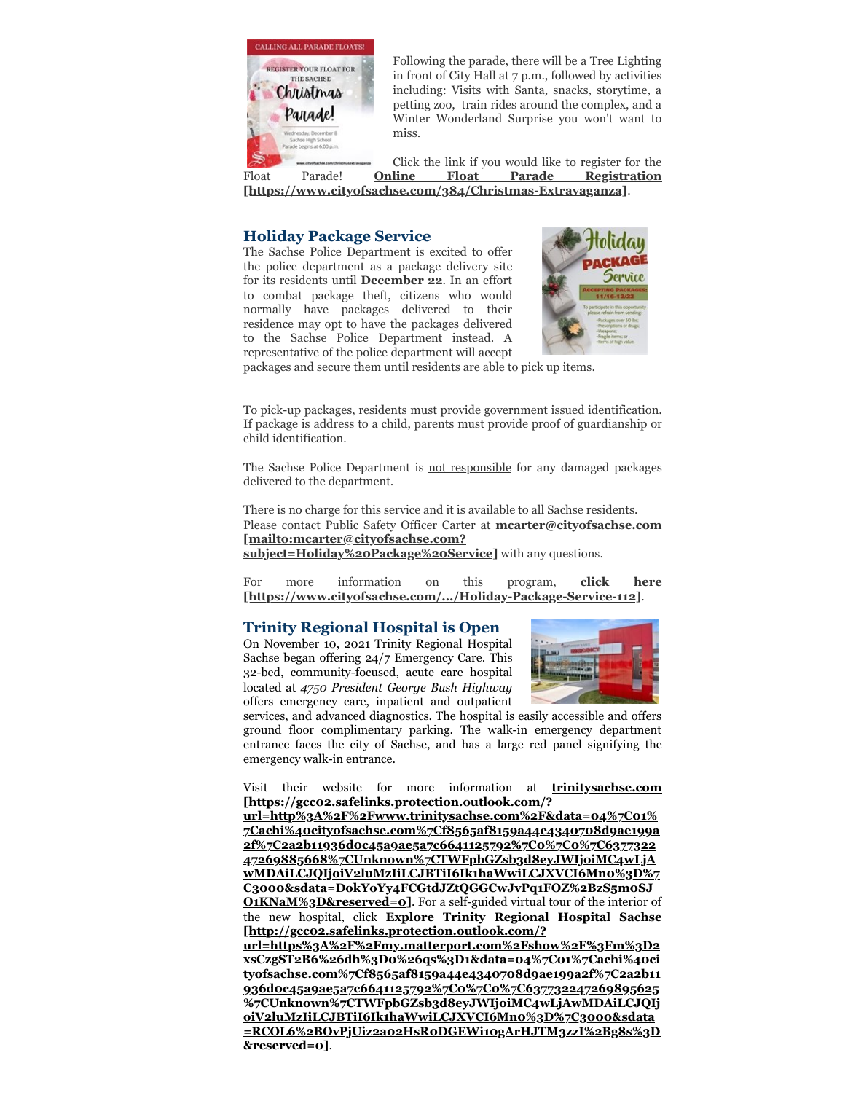

Following the parade, there will be a Tree Lighting in front of City Hall at 7 p.m., followed by activities including: Visits with Santa, snacks, storytime, a petting zoo, train rides around the complex, and a Winter Wonderland Surprise you won't want to miss.

Click the link if you would like to register for the Float Parade! **Online Float Parade Registration [\[https://www.cityofsachse.com/384/Christmas-Extravaganza\]](https://www.cityofsachse.com/384/Christmas-Extravaganza)**.

# **Holiday Package Service**

The Sachse Police Department is excited to offer the police department as a package delivery site for its residents until **December 22**. In an effort to combat package theft, citizens who would normally have packages delivered to their residence may opt to have the packages delivered to the Sachse Police Department instead. A representative of the police department will accept



packages and secure them until residents are able to pick up items.

To pick-up packages, residents must provide government issued identification. If package is address to a child, parents must provide proof of guardianship or child identification.

The Sachse Police Department is **not responsible** for any damaged packages delivered to the department.

There is no charge for this service and it is available to all Sachse residents. Please contact Public Safety Officer Carter at **mcarter@cityofsachse.com [mailto:mcarter@cityofsachse.com? [subject=Holiday%20Package%20Service\]](mailto:mcarter@cityofsachse.com?subject=Holiday%20Package%20Service)** with any questions.

For more information on this program, **click here [\[https://www.cityofsachse.com/.../Holiday-Package-Service-112\]](https://www.cityofsachse.com/.../Holiday-Package-Service-112)**.

# **Trinity Regional Hospital is Open**

On November 10, 2021 Trinity Regional Hospital Sachse began offering 24/7 Emergency Care. This 32-bed, community-focused, acute care hospital located at *4750 President George Bush Highway* offers emergency care, inpatient and outpatient



services, and advanced diagnostics. The hospital is easily accessible and offers ground floor complimentary parking. The walk-in emergency department entrance faces the city of Sachse, and has a large red panel signifying the emergency walk-in entrance.

Visit their website for more information at **trinitysachse.com [https://gcc02.safelinks.protection.outlook.com/?**

**url=http%3A%2F%2Fwww.trinitysachse.com%2F&data=04%7C01% 7Cachi%40cityofsachse.com%7Cf8565af8159a44e4340708d9ae199a 2f%7C2a2b11936d0c45a9ae5a7c6641125792%7C0%7C0%7C6377322 47269885668%7CUnknown%7CTWFpbGZsb3d8eyJWIjoiMC4wLjA [wMDAiLCJQIjoiV2luMzIiLCJBTiI6Ik1haWwiLCJXVCI6Mn0%3D%7](https://gcc02.safelinks.protection.outlook.com/?url=http%3A%2F%2Fwww.trinitysachse.com%2F&data=04%7C01%7Cachi%40cityofsachse.com%7Cf8565af8159a44e4340708d9ae199a2f%7C2a2b11936d0c45a9ae5a7c6641125792%7C0%7C0%7C637732247269885668%7CUnknown%7CTWFpbGZsb3d8eyJWIjoiMC4wLjAwMDAiLCJQIjoiV2luMzIiLCJBTiI6Ik1haWwiLCJXVCI6Mn0%3D%7C3000&sdata=DokYoYy4FCGtdJZtQGGCwJvPq1FOZ%2BzS5m0SJO1KNaM%3D&reserved=0) C3000&sdata=DokYoYy4FCGtdJZtQGGCwJvPq1FOZ%2BzS5m0SJ O1KNaM%3D&reserved=0]**. For a self-guided virtual tour of the interior of the new hospital, click **Explore Trinity Regional Hospital Sachse [http://gcc02.safelinks.protection.outlook.com/?**

**url=https%3A%2F%2Fmy.matterport.com%2Fshow%2F%3Fm%3D2 xsCzgST2B6%26dh%3D0%26qs%3D1&data=04%7C01%7Cachi%40ci [tyofsachse.com%7Cf8565af8159a44e4340708d9ae199a2f%7C2a2b11](http://gcc02.safelinks.protection.outlook.com/?url=https%3A%2F%2Fmy.matterport.com%2Fshow%2F%3Fm%3D2xsCzgST2B6%26dh%3D0%26qs%3D1&data=04%7C01%7Cachi%40cityofsachse.com%7Cf8565af8159a44e4340708d9ae199a2f%7C2a2b11936d0c45a9ae5a7c6641125792%7C0%7C0%7C637732247269895625%7CUnknown%7CTWFpbGZsb3d8eyJWIjoiMC4wLjAwMDAiLCJQIjoiV2luMzIiLCJBTiI6Ik1haWwiLCJXVCI6Mn0%3D%7C3000&sdata=RCOL6%2BOvPjUiz2a02HsR0DGEWi10gArHJTM3zzI%2Bg8s%3D&reserved=0) 936d0c45a9ae5a7c6641125792%7C0%7C0%7C637732247269895625 %7CUnknown%7CTWFpbGZsb3d8eyJWIjoiMC4wLjAwMDAiLCJQIj oiV2luMzIiLCJBTiI6Ik1haWwiLCJXVCI6Mn0%3D%7C3000&sdata =RCOL6%2BOvPjUiz2a02HsR0DGEWi10gArHJTM3zzI%2Bg8s%3D &reserved=0]**.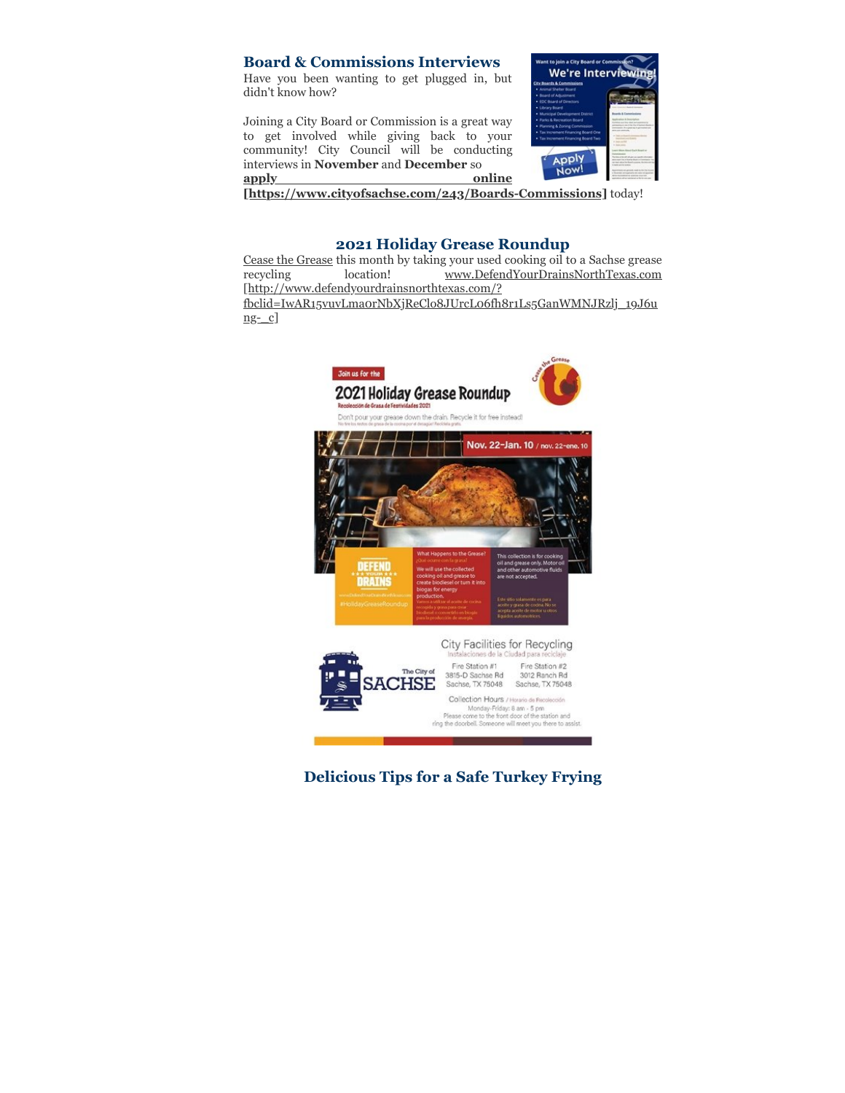# **Board & Commissions Interviews**

Have you been wanting to get plugged in, but didn't know how?

Joining a City Board or Commission is a great way to get involved while giving back to your community! City Council will be conducting interviews in **November** and **December** so **apply** online



**[\[https://www.cityofsachse.com/243/Boards-Commissions\]](https://www.cityofsachse.com/243/Boards-Commissions)** today!

### **2021 Holiday Grease Roundup**

Cease the Grease this month by taking your used cooking oil to a Sachse grease<br>recycling location! www.DefendYourDrainsNorthTexas.com [recycling location! www.DefendYourDrainsNorthTexas.com](http://www.defendyourdrainsnorthtexas.com/?fbclid=IwAR15vuvLma0rNbXjReClo8JUrcL06fh8r1Ls5GanWMNJRzlj_19J6ung-_c) [http://www.defendyourdrainsnorthtexas.com/? fbclid=IwAR15vuvLma0rNbXjReClo8JUrcL06fh8r1Ls5GanWMNJRzlj\_19J6u

ng-\_c]



**Delicious Tips for a Safe Turkey Frying**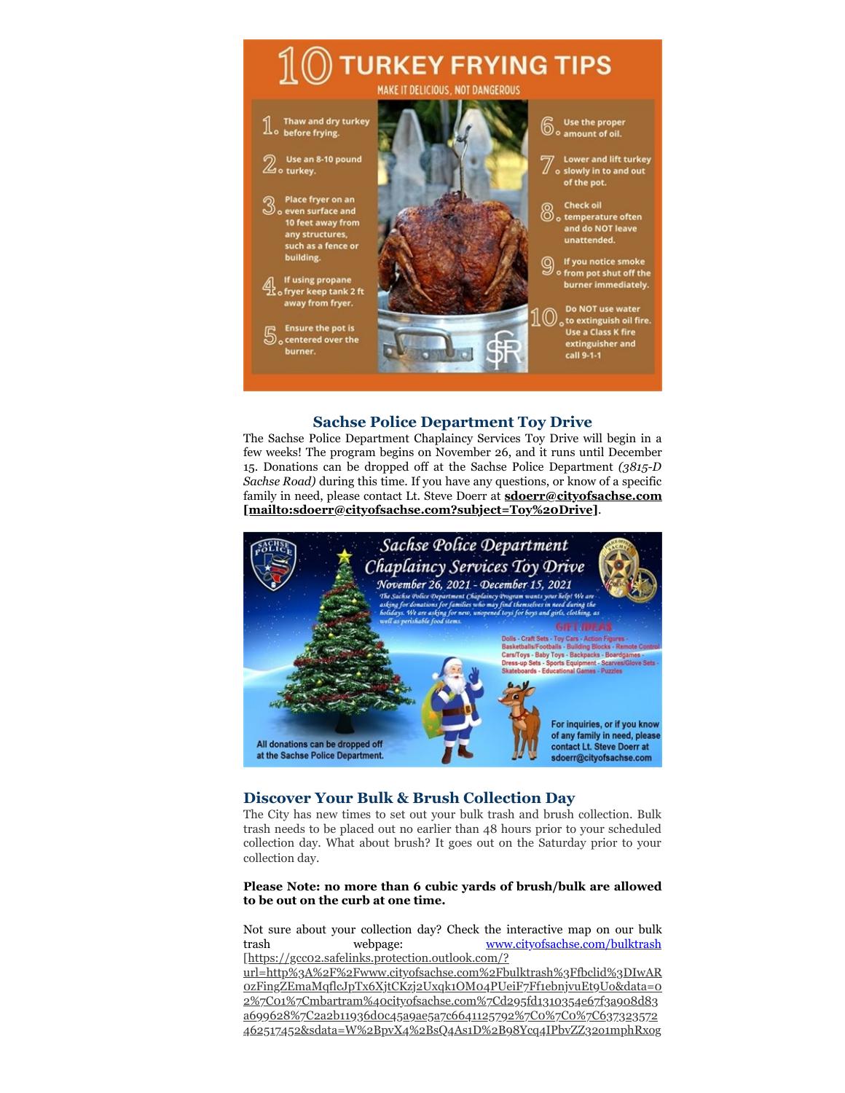

# **Sachse Police Department Toy Drive**

The Sachse Police Department Chaplaincy Services Toy Drive will begin in a few weeks! The program begins on November 26, and it runs until December 15. Donations can be dropped off at the Sachse Police Department *(3815-D Sachse Road)* during this time. If you have any questions, or know of a specific family in need, please contact Lt. Steve Doerr at **sdoerr@cityofsachse.com [\[mailto:sdoerr@cityofsachse.com?subject=Toy%20Drive\]](mailto:sdoerr@cityofsachse.com?subject=Toy%20Drive)**.



# **Discover Your Bulk & Brush Collection Day**

The City has new times to set out your bulk trash and brush collection. Bulk trash needs to be placed out no earlier than 48 hours prior to your scheduled collection day. What about brush? It goes out on the Saturday prior to your collection day.

#### **Please Note: no more than 6 cubic yards of brush/bulk are allowed to be out on the curb at one time.**

Not sure about your collection day? Check the interactive map on our bulk trash webpage: www.cityofsachse.com/bulktrash [https://gcc02.safelinks.protection.outlook.com/?

[url=http%3A%2F%2Fwww.cityofsachse.com%2Fbulktrash%3Ffbclid%3DIwAR](https://gcc02.safelinks.protection.outlook.com/?url=http%3A%2F%2Fwww.cityofsachse.com%2Fbulktrash%3Ffbclid%3DIwAR0zFingZEmaMqflcJpTx6XjtCKzj2Uxqk1OM04PUeiF7Ff1ebnjvuEt9Uo&data=02%7C01%7Cmbartram%40cityofsachse.com%7Cd295fd1310354e67f3a908d83a699628%7C2a2b11936d0c45a9ae5a7c6641125792%7C0%7C0%7C637323572462517452&sdata=W%2BpvX4%2BsQ4As1D%2B98Ycq4IPbvZZ32o1mphRxogfwFoA%3D&reserved=0) 0zFingZEmaMqflcJpTx6XjtCKzj2Uxqk1OM04PUeiF7Ff1ebnjvuEt9Uo&data=0 2%7C01%7Cmbartram%40cityofsachse.com%7Cd295fd1310354e67f3a908d83 a699628%7C2a2b11936d0c45a9ae5a7c6641125792%7C0%7C0%7C637323572 462517452&sdata=W%2BpvX4%2BsQ4As1D%2B98Ycq4IPbvZZ32o1mphRxog